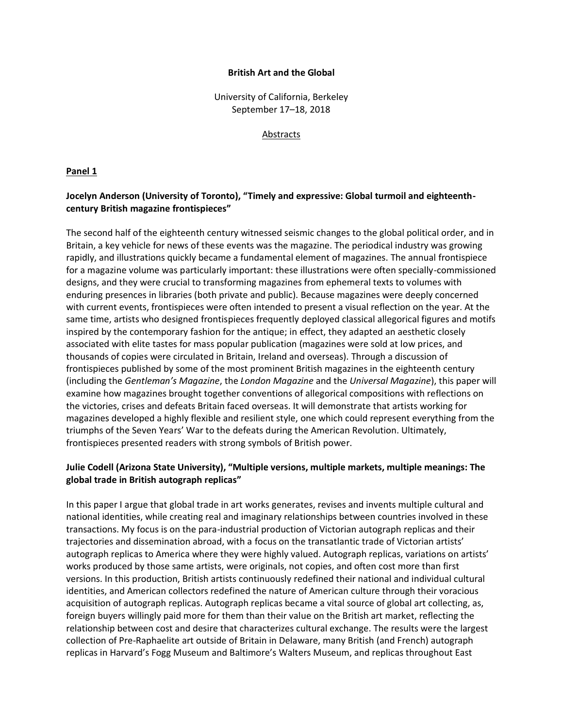#### **British Art and the Global**

University of California, Berkeley September 17–18, 2018

#### Abstracts

#### **Panel 1**

## **Jocelyn Anderson (University of Toronto), "Timely and expressive: Global turmoil and eighteenthcentury British magazine frontispieces"**

The second half of the eighteenth century witnessed seismic changes to the global political order, and in Britain, a key vehicle for news of these events was the magazine. The periodical industry was growing rapidly, and illustrations quickly became a fundamental element of magazines. The annual frontispiece for a magazine volume was particularly important: these illustrations were often specially-commissioned designs, and they were crucial to transforming magazines from ephemeral texts to volumes with enduring presences in libraries (both private and public). Because magazines were deeply concerned with current events, frontispieces were often intended to present a visual reflection on the year. At the same time, artists who designed frontispieces frequently deployed classical allegorical figures and motifs inspired by the contemporary fashion for the antique; in effect, they adapted an aesthetic closely associated with elite tastes for mass popular publication (magazines were sold at low prices, and thousands of copies were circulated in Britain, Ireland and overseas). Through a discussion of frontispieces published by some of the most prominent British magazines in the eighteenth century (including the *Gentleman's Magazine*, the *London Magazine* and the *Universal Magazine*), this paper will examine how magazines brought together conventions of allegorical compositions with reflections on the victories, crises and defeats Britain faced overseas. It will demonstrate that artists working for magazines developed a highly flexible and resilient style, one which could represent everything from the triumphs of the Seven Years' War to the defeats during the American Revolution. Ultimately, frontispieces presented readers with strong symbols of British power.

## **Julie Codell (Arizona State University), "Multiple versions, multiple markets, multiple meanings: The global trade in British autograph replicas"**

In this paper I argue that global trade in art works generates, revises and invents multiple cultural and national identities, while creating real and imaginary relationships between countries involved in these transactions. My focus is on the para-industrial production of Victorian autograph replicas and their trajectories and dissemination abroad, with a focus on the transatlantic trade of Victorian artists' autograph replicas to America where they were highly valued. Autograph replicas, variations on artists' works produced by those same artists, were originals, not copies, and often cost more than first versions. In this production, British artists continuously redefined their national and individual cultural identities, and American collectors redefined the nature of American culture through their voracious acquisition of autograph replicas. Autograph replicas became a vital source of global art collecting, as, foreign buyers willingly paid more for them than their value on the British art market, reflecting the relationship between cost and desire that characterizes cultural exchange. The results were the largest collection of Pre-Raphaelite art outside of Britain in Delaware, many British (and French) autograph replicas in Harvard's Fogg Museum and Baltimore's Walters Museum, and replicas throughout East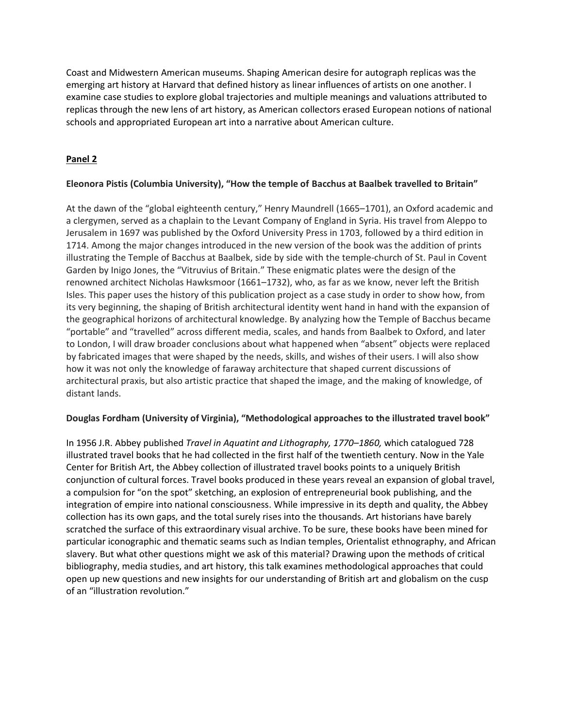Coast and Midwestern American museums. Shaping American desire for autograph replicas was the emerging art history at Harvard that defined history as linear influences of artists on one another. I examine case studies to explore global trajectories and multiple meanings and valuations attributed to replicas through the new lens of art history, as American collectors erased European notions of national schools and appropriated European art into a narrative about American culture.

# **Panel 2**

## **Eleonora Pistis (Columbia University), "How the temple of Bacchus at Baalbek travelled to Britain"**

At the dawn of the "global eighteenth century," Henry Maundrell (1665–1701), an Oxford academic and a clergymen, served as a chaplain to the Levant Company of England in Syria. His travel from Aleppo to Jerusalem in 1697 was published by the Oxford University Press in 1703, followed by a third edition in 1714. Among the major changes introduced in the new version of the book was the addition of prints illustrating the Temple of Bacchus at Baalbek, side by side with the temple-church of St. Paul in Covent Garden by Inigo Jones, the "Vitruvius of Britain." These enigmatic plates were the design of the renowned architect Nicholas Hawksmoor (1661–1732), who, as far as we know, never left the British Isles. This paper uses the history of this publication project as a case study in order to show how, from its very beginning, the shaping of British architectural identity went hand in hand with the expansion of the geographical horizons of architectural knowledge. By analyzing how the Temple of Bacchus became "portable" and "travelled" across different media, scales, and hands from Baalbek to Oxford, and later to London, I will draw broader conclusions about what happened when "absent" objects were replaced by fabricated images that were shaped by the needs, skills, and wishes of their users. I will also show how it was not only the knowledge of faraway architecture that shaped current discussions of architectural praxis, but also artistic practice that shaped the image, and the making of knowledge, of distant lands.

### **Douglas Fordham (University of Virginia), "Methodological approaches to the illustrated travel book"**

In 1956 J.R. Abbey published *Travel in Aquatint and Lithography, 1770–1860,* which catalogued 728 illustrated travel books that he had collected in the first half of the twentieth century. Now in the Yale Center for British Art, the Abbey collection of illustrated travel books points to a uniquely British conjunction of cultural forces. Travel books produced in these years reveal an expansion of global travel, a compulsion for "on the spot" sketching, an explosion of entrepreneurial book publishing, and the integration of empire into national consciousness. While impressive in its depth and quality, the Abbey collection has its own gaps, and the total surely rises into the thousands. Art historians have barely scratched the surface of this extraordinary visual archive. To be sure, these books have been mined for particular iconographic and thematic seams such as Indian temples, Orientalist ethnography, and African slavery. But what other questions might we ask of this material? Drawing upon the methods of critical bibliography, media studies, and art history, this talk examines methodological approaches that could open up new questions and new insights for our understanding of British art and globalism on the cusp of an "illustration revolution."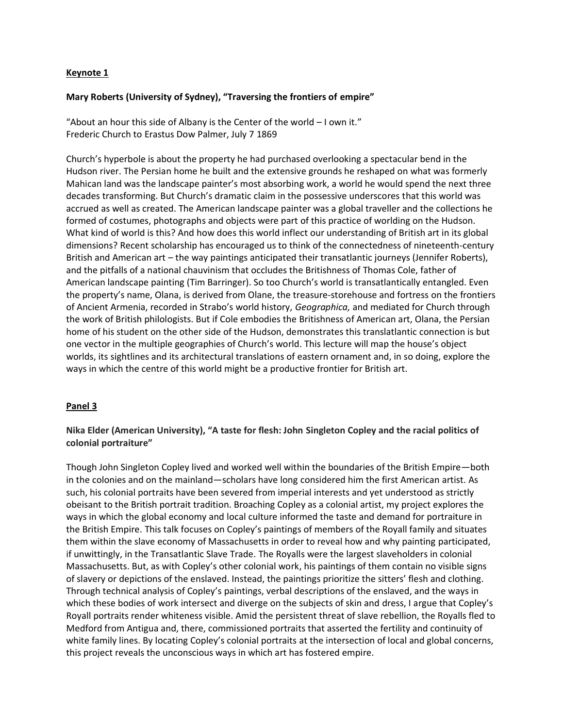### **Keynote 1**

### **Mary Roberts (University of Sydney), "Traversing the frontiers of empire"**

"About an hour this side of Albany is the Center of the world – I own it." Frederic Church to Erastus Dow Palmer, July 7 1869

Church's hyperbole is about the property he had purchased overlooking a spectacular bend in the Hudson river. The Persian home he built and the extensive grounds he reshaped on what was formerly Mahican land was the landscape painter's most absorbing work, a world he would spend the next three decades transforming. But Church's dramatic claim in the possessive underscores that this world was accrued as well as created. The American landscape painter was a global traveller and the collections he formed of costumes, photographs and objects were part of this practice of worlding on the Hudson. What kind of world is this? And how does this world inflect our understanding of British art in its global dimensions? Recent scholarship has encouraged us to think of the connectedness of nineteenth-century British and American art – the way paintings anticipated their transatlantic journeys (Jennifer Roberts), and the pitfalls of a national chauvinism that occludes the Britishness of Thomas Cole, father of American landscape painting (Tim Barringer). So too Church's world is transatlantically entangled. Even the property's name, Olana, is derived from Olane, the treasure-storehouse and fortress on the frontiers of Ancient Armenia, recorded in Strabo's world history, *Geographica,* and mediated for Church through the work of British philologists. But if Cole embodies the Britishness of American art, Olana, the Persian home of his student on the other side of the Hudson, demonstrates this translatlantic connection is but one vector in the multiple geographies of Church's world. This lecture will map the house's object worlds, its sightlines and its architectural translations of eastern ornament and, in so doing, explore the ways in which the centre of this world might be a productive frontier for British art.

### **Panel 3**

## **Nika Elder (American University), "A taste for flesh: John Singleton Copley and the racial politics of colonial portraiture"**

Though John Singleton Copley lived and worked well within the boundaries of the British Empire—both in the colonies and on the mainland—scholars have long considered him the first American artist. As such, his colonial portraits have been severed from imperial interests and yet understood as strictly obeisant to the British portrait tradition. Broaching Copley as a colonial artist, my project explores the ways in which the global economy and local culture informed the taste and demand for portraiture in the British Empire. This talk focuses on Copley's paintings of members of the Royall family and situates them within the slave economy of Massachusetts in order to reveal how and why painting participated, if unwittingly, in the Transatlantic Slave Trade. The Royalls were the largest slaveholders in colonial Massachusetts. But, as with Copley's other colonial work, his paintings of them contain no visible signs of slavery or depictions of the enslaved. Instead, the paintings prioritize the sitters' flesh and clothing. Through technical analysis of Copley's paintings, verbal descriptions of the enslaved, and the ways in which these bodies of work intersect and diverge on the subjects of skin and dress, I argue that Copley's Royall portraits render whiteness visible. Amid the persistent threat of slave rebellion, the Royalls fled to Medford from Antigua and, there, commissioned portraits that asserted the fertility and continuity of white family lines. By locating Copley's colonial portraits at the intersection of local and global concerns, this project reveals the unconscious ways in which art has fostered empire.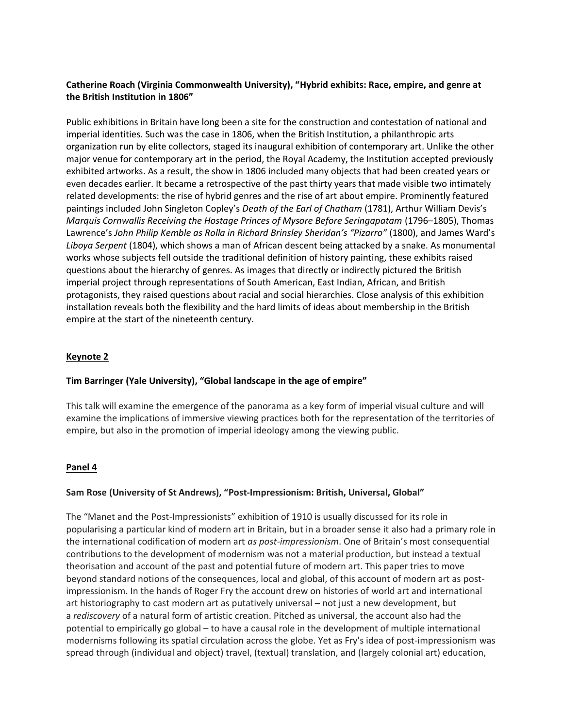## **Catherine Roach (Virginia Commonwealth University), "Hybrid exhibits: Race, empire, and genre at the British Institution in 1806"**

Public exhibitions in Britain have long been a site for the construction and contestation of national and imperial identities. Such was the case in 1806, when the British Institution, a philanthropic arts organization run by elite collectors, staged its inaugural exhibition of contemporary art. Unlike the other major venue for contemporary art in the period, the Royal Academy, the Institution accepted previously exhibited artworks. As a result, the show in 1806 included many objects that had been created years or even decades earlier. It became a retrospective of the past thirty years that made visible two intimately related developments: the rise of hybrid genres and the rise of art about empire. Prominently featured paintings included John Singleton Copley's *Death of the Earl of Chatham* (1781), Arthur William Devis's *Marquis Cornwallis Receiving the Hostage Princes of Mysore Before Seringapatam* (1796–1805), Thomas Lawrence's John Philip Kemble as Rolla in Richard Brinsley Sheridan's "Pizarro" (1800), and James Ward's *Liboya Serpent* (1804), which shows a man of African descent being attacked by a snake. As monumental works whose subjects fell outside the traditional definition of history painting, these exhibits raised questions about the hierarchy of genres. As images that directly or indirectly pictured the British imperial project through representations of South American, East Indian, African, and British protagonists, they raised questions about racial and social hierarchies. Close analysis of this exhibition installation reveals both the flexibility and the hard limits of ideas about membership in the British empire at the start of the nineteenth century.

### **Keynote 2**

### **Tim Barringer (Yale University), "Global landscape in the age of empire"**

This talk will examine the emergence of the panorama as a key form of imperial visual culture and will examine the implications of immersive viewing practices both for the representation of the territories of empire, but also in the promotion of imperial ideology among the viewing public.

### **Panel 4**

### **Sam Rose (University of St Andrews), "Post-Impressionism: British, Universal, Global"**

The "Manet and the Post-Impressionists" exhibition of 1910 is usually discussed for its role in popularising a particular kind of modern art in Britain, but in a broader sense it also had a primary role in the international codification of modern art *as post-impressionism*. One of Britain's most consequential contributions to the development of modernism was not a material production, but instead a textual theorisation and account of the past and potential future of modern art. This paper tries to move beyond standard notions of the consequences, local and global, of this account of modern art as postimpressionism. In the hands of Roger Fry the account drew on histories of world art and international art historiography to cast modern art as putatively universal – not just a new development, but a *rediscovery* of a natural form of artistic creation. Pitched as universal, the account also had the potential to empirically go global – to have a causal role in the development of multiple international modernisms following its spatial circulation across the globe. Yet as Fry's idea of post-impressionism was spread through (individual and object) travel, (textual) translation, and (largely colonial art) education,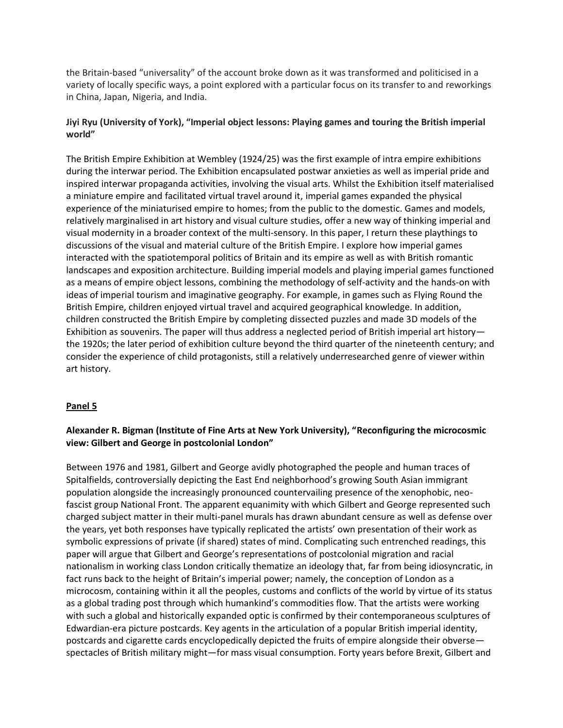the Britain-based "universality" of the account broke down as it was transformed and politicised in a variety of locally specific ways, a point explored with a particular focus on its transfer to and reworkings in China, Japan, Nigeria, and India.

## **Jiyi Ryu (University of York), "Imperial object lessons: Playing games and touring the British imperial world"**

The British Empire Exhibition at Wembley (1924/25) was the first example of intra empire exhibitions during the interwar period. The Exhibition encapsulated postwar anxieties as well as imperial pride and inspired interwar propaganda activities, involving the visual arts. Whilst the Exhibition itself materialised a miniature empire and facilitated virtual travel around it, imperial games expanded the physical experience of the miniaturised empire to homes; from the public to the domestic. Games and models, relatively marginalised in art history and visual culture studies, offer a new way of thinking imperial and visual modernity in a broader context of the multi-sensory. In this paper, I return these playthings to discussions of the visual and material culture of the British Empire. I explore how imperial games interacted with the spatiotemporal politics of Britain and its empire as well as with British romantic landscapes and exposition architecture. Building imperial models and playing imperial games functioned as a means of empire object lessons, combining the methodology of self-activity and the hands-on with ideas of imperial tourism and imaginative geography. For example, in games such as Flying Round the British Empire, children enjoyed virtual travel and acquired geographical knowledge. In addition, children constructed the British Empire by completing dissected puzzles and made 3D models of the Exhibition as souvenirs. The paper will thus address a neglected period of British imperial art history the 1920s; the later period of exhibition culture beyond the third quarter of the nineteenth century; and consider the experience of child protagonists, still a relatively underresearched genre of viewer within art history.

### **Panel 5**

# **Alexander R. Bigman (Institute of Fine Arts at New York University), "Reconfiguring the microcosmic view: Gilbert and George in postcolonial London"**

Between 1976 and 1981, Gilbert and George avidly photographed the people and human traces of Spitalfields, controversially depicting the East End neighborhood's growing South Asian immigrant population alongside the increasingly pronounced countervailing presence of the xenophobic, neofascist group National Front. The apparent equanimity with which Gilbert and George represented such charged subject matter in their multi-panel murals has drawn abundant censure as well as defense over the years, yet both responses have typically replicated the artists' own presentation of their work as symbolic expressions of private (if shared) states of mind. Complicating such entrenched readings, this paper will argue that Gilbert and George's representations of postcolonial migration and racial nationalism in working class London critically thematize an ideology that, far from being idiosyncratic, in fact runs back to the height of Britain's imperial power; namely, the conception of London as a microcosm, containing within it all the peoples, customs and conflicts of the world by virtue of its status as a global trading post through which humankind's commodities flow. That the artists were working with such a global and historically expanded optic is confirmed by their contemporaneous sculptures of Edwardian-era picture postcards. Key agents in the articulation of a popular British imperial identity, postcards and cigarette cards encyclopedically depicted the fruits of empire alongside their obverse spectacles of British military might—for mass visual consumption. Forty years before Brexit, Gilbert and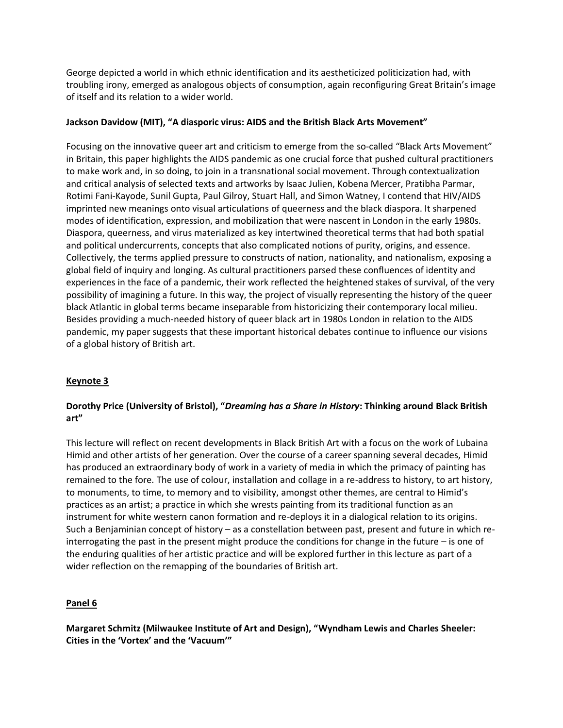George depicted a world in which ethnic identification and its aestheticized politicization had, with troubling irony, emerged as analogous objects of consumption, again reconfiguring Great Britain's image of itself and its relation to a wider world.

## **Jackson Davidow (MIT), "A diasporic virus: AIDS and the British Black Arts Movement"**

Focusing on the innovative queer art and criticism to emerge from the so-called "Black Arts Movement" in Britain, this paper highlights the AIDS pandemic as one crucial force that pushed cultural practitioners to make work and, in so doing, to join in a transnational social movement. Through contextualization and critical analysis of selected texts and artworks by Isaac Julien, Kobena Mercer, Pratibha Parmar, Rotimi Fani-Kayode, Sunil Gupta, Paul Gilroy, Stuart Hall, and Simon Watney, I contend that HIV/AIDS imprinted new meanings onto visual articulations of queerness and the black diaspora. It sharpened modes of identification, expression, and mobilization that were nascent in London in the early 1980s. Diaspora, queerness, and virus materialized as key intertwined theoretical terms that had both spatial and political undercurrents, concepts that also complicated notions of purity, origins, and essence. Collectively, the terms applied pressure to constructs of nation, nationality, and nationalism, exposing a global field of inquiry and longing. As cultural practitioners parsed these confluences of identity and experiences in the face of a pandemic, their work reflected the heightened stakes of survival, of the very possibility of imagining a future. In this way, the project of visually representing the history of the queer black Atlantic in global terms became inseparable from historicizing their contemporary local milieu. Besides providing a much-needed history of queer black art in 1980s London in relation to the AIDS pandemic, my paper suggests that these important historical debates continue to influence our visions of a global history of British art.

# **Keynote 3**

# **Dorothy Price (University of Bristol), "***Dreaming has a Share in History***: Thinking around Black British art"**

This lecture will reflect on recent developments in Black British Art with a focus on the work of Lubaina Himid and other artists of her generation. Over the course of a career spanning several decades, Himid has produced an extraordinary body of work in a variety of media in which the primacy of painting has remained to the fore. The use of colour, installation and collage in a re-address to history, to art history, to monuments, to time, to memory and to visibility, amongst other themes, are central to Himid's practices as an artist; a practice in which she wrests painting from its traditional function as an instrument for white western canon formation and re-deploys it in a dialogical relation to its origins. Such a Benjaminian concept of history – as a constellation between past, present and future in which reinterrogating the past in the present might produce the conditions for change in the future – is one of the enduring qualities of her artistic practice and will be explored further in this lecture as part of a wider reflection on the remapping of the boundaries of British art.

### **Panel 6**

**Margaret Schmitz (Milwaukee Institute of Art and Design), "Wyndham Lewis and Charles Sheeler: Cities in the 'Vortex' and the 'Vacuum'"**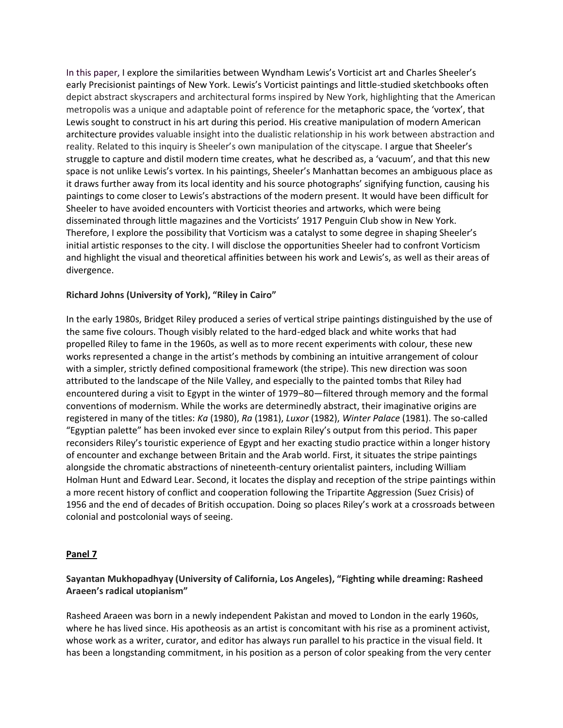In this paper, I explore the similarities between Wyndham Lewis's Vorticist art and Charles Sheeler's early Precisionist paintings of New York. Lewis's Vorticist paintings and little-studied sketchbooks often depict abstract skyscrapers and architectural forms inspired by New York, highlighting that the American metropolis was a unique and adaptable point of reference for the metaphoric space, the 'vortex', that Lewis sought to construct in his art during this period. His creative manipulation of modern American architecture provides valuable insight into the dualistic relationship in his work between abstraction and reality. Related to this inquiry is Sheeler's own manipulation of the cityscape. I argue that Sheeler's struggle to capture and distil modern time creates, what he described as, a 'vacuum', and that this new space is not unlike Lewis's vortex. In his paintings, Sheeler's Manhattan becomes an ambiguous place as it draws further away from its local identity and his source photographs' signifying function, causing his paintings to come closer to Lewis's abstractions of the modern present. It would have been difficult for Sheeler to have avoided encounters with Vorticist theories and artworks, which were being disseminated through little magazines and the Vorticists' 1917 Penguin Club show in New York. Therefore, I explore the possibility that Vorticism was a catalyst to some degree in shaping Sheeler's initial artistic responses to the city. I will disclose the opportunities Sheeler had to confront Vorticism and highlight the visual and theoretical affinities between his work and Lewis's, as well as their areas of divergence.

#### **Richard Johns (University of York), "Riley in Cairo"**

In the early 1980s, Bridget Riley produced a series of vertical stripe paintings distinguished by the use of the same five colours. Though visibly related to the hard-edged black and white works that had propelled Riley to fame in the 1960s, as well as to more recent experiments with colour, these new works represented a change in the artist's methods by combining an intuitive arrangement of colour with a simpler, strictly defined compositional framework (the stripe). This new direction was soon attributed to the landscape of the Nile Valley, and especially to the painted tombs that Riley had encountered during a visit to Egypt in the winter of 1979–80—filtered through memory and the formal conventions of modernism. While the works are determinedly abstract, their imaginative origins are registered in many of the titles: *Ka* (1980), *Ra* (1981), *Luxor* (1982), *Winter Palace* (1981). The so-called "Egyptian palette" has been invoked ever since to explain Riley's output from this period. This paper reconsiders Riley's touristic experience of Egypt and her exacting studio practice within a longer history of encounter and exchange between Britain and the Arab world. First, it situates the stripe paintings alongside the chromatic abstractions of nineteenth-century orientalist painters, including William Holman Hunt and Edward Lear. Second, it locates the display and reception of the stripe paintings within a more recent history of conflict and cooperation following the Tripartite Aggression (Suez Crisis) of 1956 and the end of decades of British occupation. Doing so places Riley's work at a crossroads between colonial and postcolonial ways of seeing.

#### **Panel 7**

## **Sayantan Mukhopadhyay (University of California, Los Angeles), "Fighting while dreaming: Rasheed Araeen's radical utopianism"**

Rasheed Araeen was born in a newly independent Pakistan and moved to London in the early 1960s, where he has lived since. His apotheosis as an artist is concomitant with his rise as a prominent activist, whose work as a writer, curator, and editor has always run parallel to his practice in the visual field. It has been a longstanding commitment, in his position as a person of color speaking from the very center